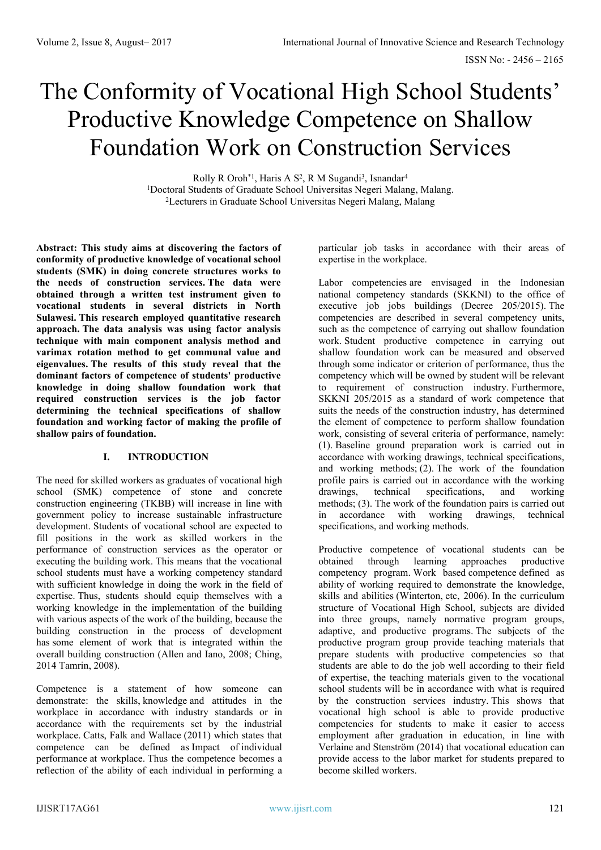# The Conformity of Vocational High School Students' Productive Knowledge Competence on Shallow Foundation Work on Construction Services

Rolly R Oroh<sup>\*1</sup>, Haris A S<sup>2</sup>, R M Sugandi<sup>3</sup>, Isnandar<sup>4</sup> <sup>1</sup>Doctoral Students of Graduate School Universitas Negeri Malang, Malang. <sup>2</sup>Lecturers in Graduate School Universitas Negeri Malang, Malang

**Abstract: This study aims at discovering the factors of conformity of productive knowledge of vocational school students (SMK) in doing concrete structures works to the needs of construction services. The data were obtained through a written test instrument given to vocational students in several districts in North Sulawesi. This research employed quantitative research approach. The data analysis was using factor analysis technique with main component analysis method and varimax rotation method to get communal value and eigenvalues. The results of this study reveal that the dominant factors of competence of students' productive knowledge in doing shallow foundation work that required construction services is the job factor determining the technical specifications of shallow foundation and working factor of making the profile of shallow pairs of foundation.**

## **I. INTRODUCTION**

The need for skilled workers as graduates of vocational high school (SMK) competence of stone and concrete construction engineering (TKBB) will increase in line with government policy to increase sustainable infrastructure development. Students of vocational school are expected to fill positions in the work as skilled workers in the performance of construction services as the operator or executing the building work. This means that the vocational school students must have a working competency standard with sufficient knowledge in doing the work in the field of expertise. Thus, students should equip themselves with a working knowledge in the implementation of the building with various aspects of the work of the building, because the building construction in the process of development has some element of work that is integrated within the overall building construction (Allen and Iano, 2008; Ching, 2014 Tamrin, 2008).

Competence is a statement of how someone can demonstrate: the skills, knowledge and attitudes in the workplace in accordance with industry standards or in accordance with the requirements set by the industrial workplace. Catts, Falk and Wallace (2011) which states that competence can be defined as Impact of individual performance at workplace. Thus the competence becomes a reflection of the ability of each individual in performing a

particular job tasks in accordance with their areas of expertise in the workplace.

Labor competencies are envisaged in the Indonesian national competency standards (SKKNI) to the office of executive job jobs buildings (Decree 205/2015). The competencies are described in several competency units, such as the competence of carrying out shallow foundation work. Student productive competence in carrying out shallow foundation work can be measured and observed through some indicator or criterion of performance, thus the competency which will be owned by student will be relevant to requirement of construction industry. Furthermore, SKKNI 205/2015 as a standard of work competence that suits the needs of the construction industry, has determined the element of competence to perform shallow foundation work, consisting of several criteria of performance, namely: (1). Baseline ground preparation work is carried out in accordance with working drawings, technical specifications, and working methods; (2). The work of the foundation profile pairs is carried out in accordance with the working<br>drawings, technical specifications, and working drawings, technical specifications, and working methods; (3). The work of the foundation pairs is carried out in accordance with working drawings, technical specifications, and working methods.

Productive competence of vocational students can be obtained through learning approaches productive competency program. Work based competence defined as ability of working required to demonstrate the knowledge, skills and abilities (Winterton, etc, 2006). In the curriculum structure of Vocational High School, subjects are divided into three groups, namely normative program groups, adaptive, and productive programs. The subjects of the productive program group provide teaching materials that prepare students with productive competencies so that students are able to do the job well according to their field of expertise, the teaching materials given to the vocational school students will be in accordance with what is required by the construction services industry. This shows that vocational high school is able to provide productive competencies for students to make it easier to access employment after graduation in education, in line with Verlaine and Stenström (2014) that vocational education can provide access to the labor market for students prepared to become skilled workers.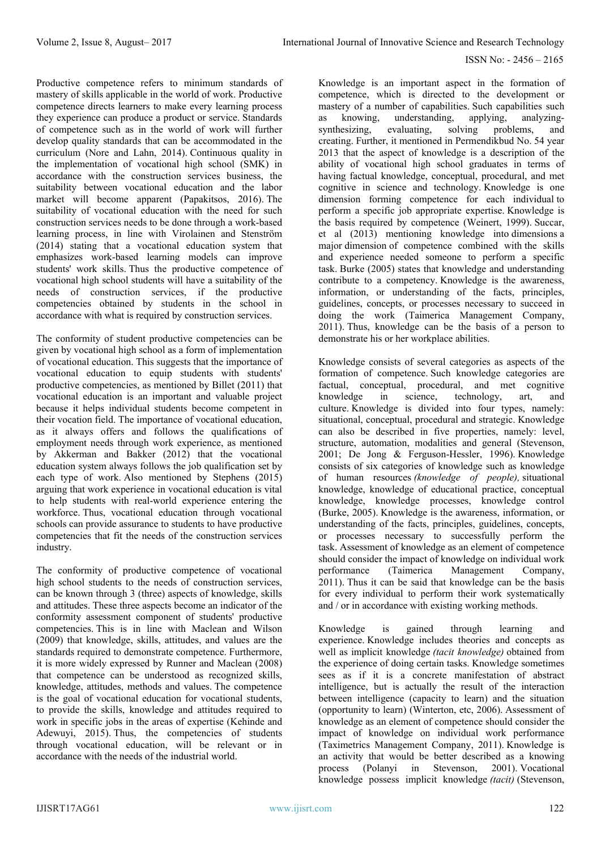Productive competence refers to minimum standards of mastery of skills applicable in the world of work. Productive competence directs learners to make every learning process they experience can produce a product or service. Standards of competence such as in the world of work will further develop quality standards that can be accommodated in the curriculum (Nore and Lahn, 2014). Continuous quality in the implementation of vocational high school (SMK) in accordance with the construction services business, the suitability between vocational education and the labor market will become apparent (Papakitsos, 2016). The suitability of vocational education with the need for such construction services needs to be done through a work-based learning process, in line with Virolainen and Stenström (2014) stating that a vocational education system that emphasizes work-based learning models can improve students' work skills. Thus the productive competence of vocational high school students will have a suitability of the needs of construction services, if the productive competencies obtained by students in the school in accordance with what is required by construction services.

The conformity of student productive competencies can be given by vocational high school as a form of implementation of vocational education. This suggests that the importance of vocational education to equip students with students' productive competencies, as mentioned by Billet (2011) that vocational education is an important and valuable project because it helps individual students become competent in their vocation field. The importance of vocational education, as it always offers and follows the qualifications of employment needs through work experience, as mentioned by Akkerman and Bakker (2012) that the vocational education system always follows the job qualification set by each type of work. Also mentioned by Stephens (2015) arguing that work experience in vocational education is vital to help students with real-world experience entering the workforce. Thus, vocational education through vocational schools can provide assurance to students to have productive competencies that fit the needs of the construction services industry.

The conformity of productive competence of vocational high school students to the needs of construction services, can be known through 3 (three) aspects of knowledge, skills and attitudes. These three aspects become an indicator of the conformity assessment component of students' productive competencies. This is in line with Maclean and Wilson (2009) that knowledge, skills, attitudes, and values are the standards required to demonstrate competence. Furthermore, it is more widely expressed by Runner and Maclean (2008) that competence can be understood as recognized skills, knowledge, attitudes, methods and values. The competence is the goal of vocational education for vocational students, to provide the skills, knowledge and attitudes required to work in specific jobs in the areas of expertise (Kehinde and Adewuyi, 2015). Thus, the competencies of students through vocational education, will be relevant or in accordance with the needs of the industrial world.

Knowledge is an important aspect in the formation of competence, which is directed to the development or mastery of a number of capabilities. Such capabilities such as knowing, understanding, applying, analyzingas knowing, understanding, applying, analyzingsynthesizing, evaluating, solving problems, and creating. Further, it mentioned in Permendikbud No. 54 year 2013 that the aspect of knowledge is a description of the ability of vocational high school graduates in terms of having factual knowledge, conceptual, procedural, and met cognitive in science and technology. Knowledge is one dimension forming competence for each individual to perform a specific job appropriate expertise. Knowledge is the basis required by competence (Weinert, 1999). Succar, et al (2013) mentioning knowledge into dimensions a major dimension of competence combined with the skills and experience needed someone to perform a specific task. Burke (2005) states that knowledge and understanding contribute to a competency. Knowledge is the awareness, information, or understanding of the facts, principles, guidelines, concepts, or processes necessary to succeed in doing the work (Taimerica Management Company, 2011). Thus, knowledge can be the basis of a person to demonstrate his or her workplace abilities.

Knowledge consists of several categories as aspects of the formation of competence. Such knowledge categories are factual, conceptual, procedural, and met cognitive knowledge in science, technology, art, and culture. Knowledge is divided into four types, namely: situational, conceptual, procedural and strategic. Knowledge can also be described in five properties, namely: level, structure, automation, modalities and general (Stevenson, 2001; De Jong & Ferguson-Hessler, 1996). Knowledge consists of six categories of knowledge such as knowledge of human resources *(knowledge of people),* situational knowledge, knowledge of educational practice, conceptual knowledge, knowledge processes, knowledge control (Burke, 2005). Knowledge is the awareness, information, or understanding of the facts, principles, guidelines, concepts, or processes necessary to successfully perform the task. Assessment of knowledge as an element of competence should consider the impact of knowledge on individual work performance (Taimerica Management Company, 2011). Thus it can be said that knowledge can be the basis for every individual to perform their work systematically and / or in accordance with existing working methods.

Knowledge is gained through learning and experience. Knowledge includes theories and concepts as well as implicit knowledge *(tacit knowledge)* obtained from the experience of doing certain tasks. Knowledge sometimes sees as if it is a concrete manifestation of abstract intelligence, but is actually the result of the interaction between intelligence (capacity to learn) and the situation (opportunity to learn) (Winterton, etc, 2006). Assessment of knowledge as an element of competence should consider the impact of knowledge on individual work performance (Taximetrics Management Company, 2011). Knowledge is an activity that would be better described as a knowing process (Polanyi in Stevenson, 2001). Vocational knowledge possess implicit knowledge *(tacit)* (Stevenson,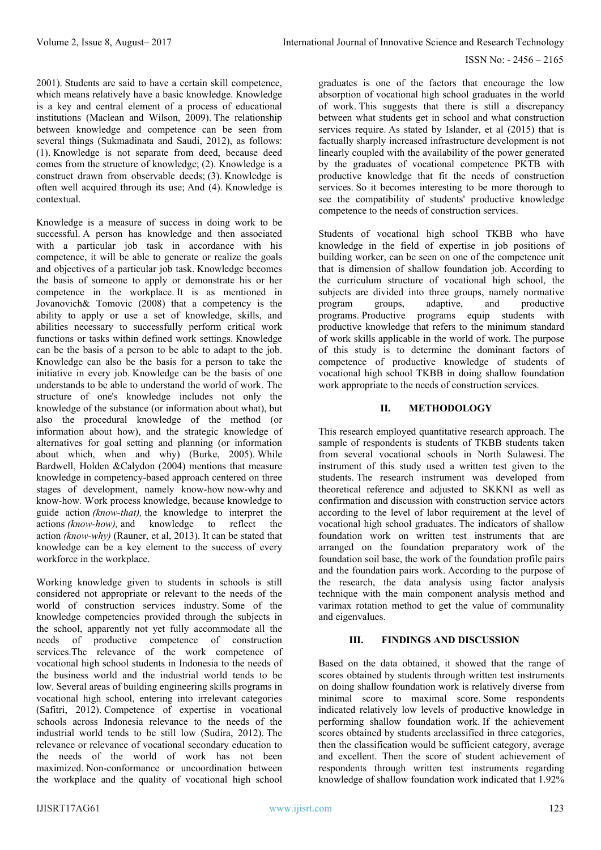2001). Students are said to have a certain skill competence, which means relatively have a basic knowledge. Knowledge is a key and central element of a process of educational institutions (Maclean and Wilson, 2009). The relationship between knowledge and competence can be seen from several things (Sukmadinata and Saudi, 2012), as follows: (1). Knowledge is not separate from deed, because deed comes from the structure of knowledge; (2). Knowledge is a construct drawn from observable deeds; (3). Knowledge is often well acquired through its use; And (4). Knowledge is contextual.

Knowledge is a measure of success in doing work to be successful. A person has knowledge and then associated with a particular job task in accordance with his competence, it will be able to generate or realize the goals and objectives of a particular job task. Knowledge becomes the basis of someone to apply or demonstrate his or her competence in the workplace. It is as mentioned in Jovanovich& Tomovic (2008) that a competency is the ability to apply or use a set of knowledge, skills, and abilities necessary to successfully perform critical work functions or tasks within defined work settings. Knowledge can be the basis of a person to be able to adapt to the job. Knowledge can also be the basis for a person to take the initiative in every job. Knowledge can be the basis of one understands to be able to understand the world of work. The structure of one's knowledge includes not only the knowledge of the substance (or information about what), but also the procedural knowledge of the method (or information about how), and the strategic knowledge of alternatives for goal setting and planning (or information about which, when and why) (Burke, 2005). While Bardwell, Holden &Calydon (2004) mentions that measure knowledge in competency-based approach centered on three stages of development, namely know-how now-why and know-how*.* Work process knowledge, because knowledge to guide action *(know-that),* the knowledge to interpret the actions *(know-how),* and knowledge to reflect the action *(know-why)* (Rauner, et al, 2013). It can be stated that knowledge can be a key element to the success of every workforce in the workplace.

Working knowledge given to students in schools is still considered not appropriate or relevant to the needs of the world of construction services industry. Some of the knowledge competencies provided through the subjects in the school, apparently not yet fully accommodate all the needs of productive competence of construction services. The relevance of the work competence of vocational high school students in Indonesia to the needs of the business world and the industrial world tends to be low. Several areas of building engineering skills programs in vocational high school, entering into irrelevant categories (Safitri, 2012). Competence of expertise in vocational schools across Indonesia relevance to the needs of the industrial world tends to be still low (Sudira, 2012). The relevance or relevance of vocational secondary education to the needs of the world of work has not been maximized. Non-conformance or uncoordination between the workplace and the quality of vocational high school

graduates is one of the factors that encourage the low absorption of vocational high school graduates in the world of work. This suggests that there is still a discrepancy between what students get in school and what construction services require. As stated by Islander, et al (2015) that is factually sharply increased infrastructure development is not linearly coupled with the availability of the power generated by the graduates of vocational competence PKTB with productive knowledge that fit the needs of construction services. So it becomes interesting to be more thorough to see the compatibility of students' productive knowledge competence to the needs of construction services.

Students of vocational high school TKBB who have knowledge in the field of expertise in job positions of building worker, can be seen on one of the competence unit that is dimension of shallow foundation job. According to the curriculum structure of vocational high school, the subjects are divided into three groups, namely normative program groups, adaptive, and productive programs. Productive programs equip students with productive knowledge that refers to the minimum standard of work skills applicable in the world of work. The purpose of this study is to determine the dominant factors of competence of productive knowledge of students of vocational high school TKBB in doing shallow foundation work appropriate to the needs of construction services.

## **II. METHODOLOGY**

This research employed quantitative research approach. The sample of respondents is students of TKBB students taken from several vocational schools in North Sulawesi. The instrument of this study used a written test given to the students. The research instrument was developed from theoretical reference and adjusted to SKKNI as well as confirmation and discussion with construction service actors according to the level of labor requirement at the level of vocational high school graduates. The indicators of shallow foundation work on written test instruments that are arranged on the foundation preparatory work of the foundation soil base, the work of the foundation profile pairs and the foundation pairs work. According to the purpose of the research, the data analysis using factor analysis technique with the main component analysis method and varimax rotation method to get the value of communality and eigenvalues.

## **III. FINDINGS AND DISCUSSION**

Based on the data obtained, it showed that the range of scores obtained by students through written test instruments on doing shallow foundation work is relatively diverse from minimal score to maximal score. Some respondents indicated relatively low levels of productive knowledge in performing shallow foundation work. If the achievement scores obtained by students areclassified in three categories, then the classification would be sufficient category, average and excellent. Then the score of student achievement of respondents through written test instruments regarding knowledge of shallow foundation work indicated that 1.92%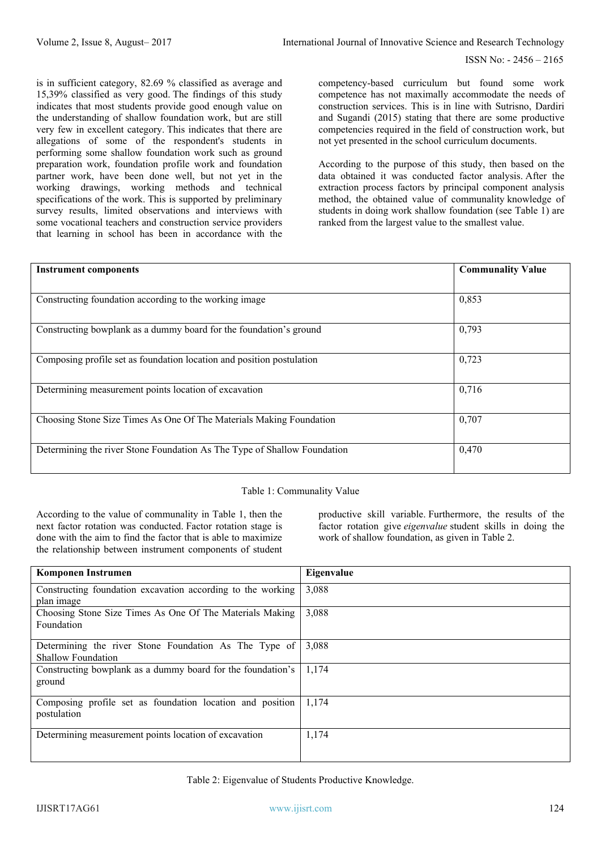ISSN No: - 2456 – 2165

is in sufficient category, 82.69 % classified as average and 15,39% classified as very good. The findings of this study indicates that most students provide good enough value on the understanding of shallow foundation work, but are still very few in excellent category. This indicates that there are allegations of some of the respondent's students in performing some shallow foundation work such as ground preparation work, foundation profile work and foundation partner work, have been done well, but not yet in the working drawings, working methods and technical specifications of the work. This is supported by preliminary survey results, limited observations and interviews with some vocational teachers and construction service providers that learning in school has been in accordance with the competency-based curriculum but found some work competence has not maximally accommodate the needs of construction services. This is in line with Sutrisno, Dardiri and Sugandi (2015) stating that there are some productive competencies required in the field of construction work, but not yet presented in the school curriculum documents.

According to the purpose of this study, then based on the data obtained it was conducted factor analysis. After the extraction process factors by principal component analysis method, the obtained value of communality knowledge of students in doing work shallow foundation (see Table 1) are ranked from the largest value to the smallest value.

| <b>Instrument components</b>                                             | <b>Communality Value</b> |
|--------------------------------------------------------------------------|--------------------------|
|                                                                          |                          |
| Constructing foundation according to the working image                   | 0,853                    |
| Constructing bowplank as a dummy board for the foundation's ground       | 0,793                    |
| Composing profile set as foundation location and position postulation    | 0,723                    |
| Determining measurement points location of excavation                    | 0,716                    |
| Choosing Stone Size Times As One Of The Materials Making Foundation      | 0,707                    |
| Determining the river Stone Foundation As The Type of Shallow Foundation | 0,470                    |

## Table 1: Communality Value

According to the value of communality in Table 1, then the next factor rotation was conducted. Factor rotation stage is done with the aim to find the factor that is able to maximize the relationship between instrument components of student productive skill variable. Furthermore, the results of the factor rotation give *eigenvalue* student skills in doing the work of shallow foundation, as given in Table 2.

| <b>Komponen Instrumen</b>                                   | Eigenvalue |
|-------------------------------------------------------------|------------|
| Constructing foundation excavation according to the working | 3,088      |
| plan image                                                  |            |
| Choosing Stone Size Times As One Of The Materials Making    | 3,088      |
| Foundation                                                  |            |
| Determining the river Stone Foundation As The Type of       | 3,088      |
| Shallow Foundation                                          |            |
| Constructing bowplank as a dummy board for the foundation's | 1,174      |
| ground                                                      |            |
| Composing profile set as foundation location and position   | 1,174      |
| postulation                                                 |            |
| Determining measurement points location of excavation       | 1,174      |
|                                                             |            |
|                                                             |            |

Table 2: Eigenvalue of Students Productive Knowledge.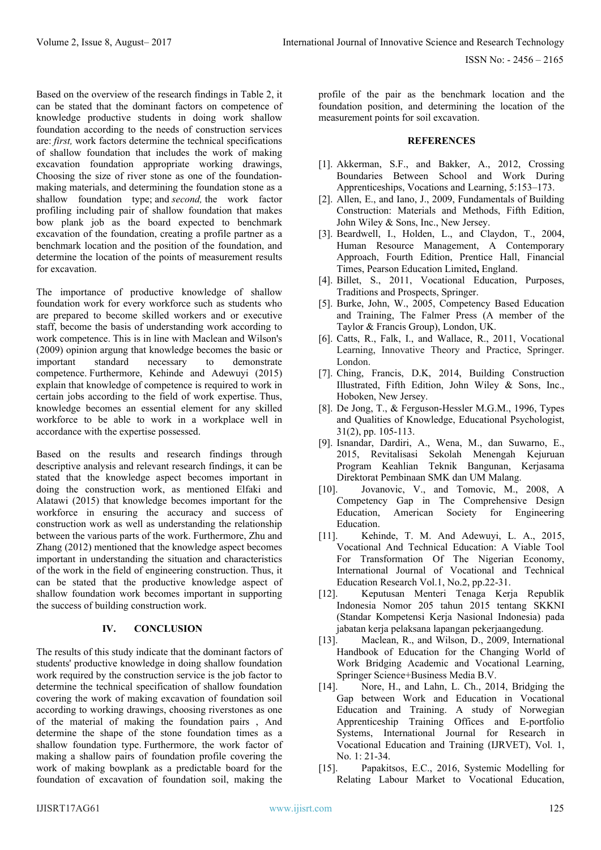Based on the overview of the research findings in Table 2, it can be stated that the dominant factors on competence of knowledge productive students in doing work shallow foundation according to the needs of construction services are: *first,* work factors determine the technical specifications of shallow foundation that includes the work of making excavation foundation appropriate working drawings, Choosing the size of river stone as one of the foundationmaking materials, and determining the foundation stone as a shallow foundation type; and *second,* the work factor profiling including pair of shallow foundation that makes bow plank job as the board expected to benchmark excavation of the foundation, creating a profile partner as a benchmark location and the position of the foundation, and determine the location of the points of measurement results for excavation.

The importance of productive knowledge of shallow foundation work for every workforce such as students who are prepared to become skilled workers and or executive staff, become the basis of understanding work according to work competence. This is in line with Maclean and Wilson's (2009) opinion argung that knowledge becomes the basic or important standard necessary to demonstrate competence. Furthermore, Kehinde and Adewuyi (2015) explain that knowledge of competence is required to work in certain jobs according to the field of work expertise. Thus, knowledge becomes an essential element for any skilled workforce to be able to work in a workplace well in accordance with the expertise possessed.

Based on the results and research findings through descriptive analysis and relevant research findings, it can be stated that the knowledge aspect becomes important in doing the construction work, as mentioned Elfaki and Alatawi (2015) that knowledge becomes important for the workforce in ensuring the accuracy and success of construction work as well as understanding the relationship between the various parts of the work. Furthermore, Zhu and Zhang (2012) mentioned that the knowledge aspect becomes important in understanding the situation and characteristics of the work in the field of engineering construction. Thus, it can be stated that the productive knowledge aspect of shallow foundation work becomes important in supporting the success of building construction work.

## **IV. CONCLUSION**

The results of this study indicate that the dominant factors of students' productive knowledge in doing shallow foundation work required by the construction service is the job factor to determine the technical specification of shallow foundation covering the work of making excavation of foundation soil according to working drawings, choosing riverstones as one of the material of making the foundation pairs , And determine the shape of the stone foundation times as a shallow foundation type. Furthermore, the work factor of making a shallow pairs of foundation profile covering the work of making bowplank as a predictable board for the foundation of excavation of foundation soil, making the

profile of the pair as the benchmark location and the foundation position, and determining the location of the measurement points for soil excavation.

#### **REFERENCES**

- [1]. Akkerman, S.F., and Bakker, A., 2012, Crossing Boundaries Between School and Work During Apprenticeships, Vocations and Learning, 5:153–173.
- [2]. Allen, E., and Iano, J., 2009, Fundamentals of Building Construction: Materials and Methods, Fifth Edition, John Wiley & Sons, Inc., New Jersey.
- [3]. Beardwell, I., Holden, L., and Claydon, T., 2004, Human Resource Management, A Contemporary Approach, Fourth Edition, Prentice Hall, Financial Times, Pearson Education Limited**,** England.
- [4]. Billet, S., 2011, Vocational Education, Purposes, Traditions and Prospects, Springer.
- [5]. Burke, John, W., 2005, Competency Based Education and Training, The Falmer Press (A member of the Taylor & Francis Group), London, UK.
- [6]. Catts, R., Falk, I., and Wallace, R., 2011, Vocational Learning, Innovative Theory and Practice, Springer. London.
- [7]. Ching, Francis, D.K, 2014, Building Construction Illustrated, Fifth Edition, John Wiley & Sons, Inc., Hoboken, New Jersey.
- [8]. De Jong, T., & Ferguson-Hessler M.G.M., 1996, Types and Qualities of Knowledge, Educational Psychologist, 31(2), pp. 105-113.
- [9]. Isnandar, Dardiri, A., Wena, M., dan Suwarno, E., 2015, Revitalisasi Sekolah Menengah Kejuruan Program Keahlian Teknik Bangunan, Kerjasama Direktorat Pembinaan SMK dan UM Malang.
- [10]. Jovanovic, V., and Tomovic, M., 2008, A Competency Gap in The Comprehensive Design Education, American Society for Engineering Education.
- [11]. Kehinde, T. M. And Adewuyi, L. A., 2015, Vocational And Technical Education: A Viable Tool For Transformation Of The Nigerian Economy, International Journal of Vocational and Technical Education Research Vol.1, No.2, pp.22-31.
- [12]. Keputusan Menteri Tenaga Kerja Republik Indonesia Nomor 205 tahun 2015 tentang SKKNI (Standar Kompetensi Kerja Nasional Indonesia) pada jabatan kerja pelaksana lapangan pekerjaangedung.
- [13]. Maclean, R., and Wilson, D., 2009, International Handbook of Education for the Changing World of Work Bridging Academic and Vocational Learning, Springer Science+Business Media B.V.
- [14]. Nore, H., and Lahn, L. Ch., 2014, Bridging the Gap between Work and Education in Vocational Education and Training. A study of Norwegian Apprenticeship Training Offices and E-portfolio Systems, International Journal for Research in Vocational Education and Training (IJRVET), Vol. 1, No. 1: 21-34.
- [15]. Papakitsos, E.C., 2016, Systemic Modelling for Relating Labour Market to Vocational Education,